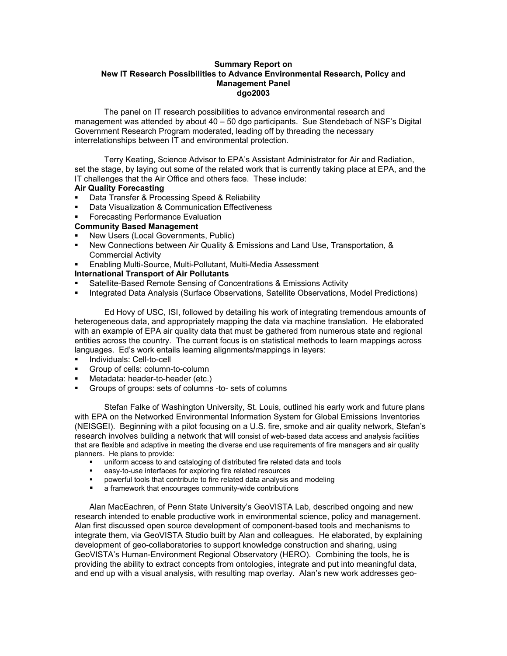## **Summary Report on New IT Research Possibilities to Advance Environmental Research, Policy and Management Panel dgo2003**

The panel on IT research possibilities to advance environmental research and management was attended by about 40 – 50 dgo participants. Sue Stendebach of NSF's Digital Government Research Program moderated, leading off by threading the necessary interrelationships between IT and environmental protection.

Terry Keating, Science Advisor to EPA's Assistant Administrator for Air and Radiation, set the stage, by laying out some of the related work that is currently taking place at EPA, and the IT challenges that the Air Office and others face. These include:

## **Air Quality Forecasting**

- ß Data Transfer & Processing Speed & Reliability
- **Data Visualization & Communication Effectiveness**
- ß Forecasting Performance Evaluation

## **Community Based Management**

- ß New Users (Local Governments, Public)
- ß New Connections between Air Quality & Emissions and Land Use, Transportation, & Commercial Activity
- **Enabling Multi-Source, Multi-Pollutant, Multi-Media Assessment**

## **International Transport of Air Pollutants**

- ß Satellite-Based Remote Sensing of Concentrations & Emissions Activity
- ß Integrated Data Analysis (Surface Observations, Satellite Observations, Model Predictions)

Ed Hovy of USC, ISI, followed by detailing his work of integrating tremendous amounts of heterogeneous data, and appropriately mapping the data via machine translation. He elaborated with an example of EPA air quality data that must be gathered from numerous state and regional entities across the country. The current focus is on statistical methods to learn mappings across languages. Ed's work entails learning alignments/mappings in layers:

- **Individuals: Cell-to-cell**
- **Group of cells: column-to-column**
- Metadata: header-to-header (etc.)
- ß Groups of groups: sets of columns -to- sets of columns

Stefan Falke of Washington University, St. Louis, outlined his early work and future plans with EPA on the Networked Environmental Information System for Global Emissions Inventories (NEISGEI). Beginning with a pilot focusing on a U.S. fire, smoke and air quality network, Stefan's research involves building a network that will consist of web-based data access and analysis facilities that are flexible and adaptive in meeting the diverse end use requirements of fire managers and air quality planners. He plans to provide:

- ß uniform access to and cataloging of distributed fire related data and tools
- ß easy-to-use interfaces for exploring fire related resources
- ß powerful tools that contribute to fire related data analysis and modeling
- ß a framework that encourages community-wide contributions

Alan MacEachren, of Penn State University's GeoVISTA Lab, described ongoing and new research intended to enable productive work in environmental science, policy and management. Alan first discussed open source development of component-based tools and mechanisms to integrate them, via GeoVISTA Studio built by Alan and colleagues. He elaborated, by explaining development of geo-collaboratories to support knowledge construction and sharing, using GeoVISTA's Human-Environment Regional Observatory (HERO). Combining the tools, he is providing the ability to extract concepts from ontologies, integrate and put into meaningful data, and end up with a visual analysis, with resulting map overlay. Alan's new work addresses geo